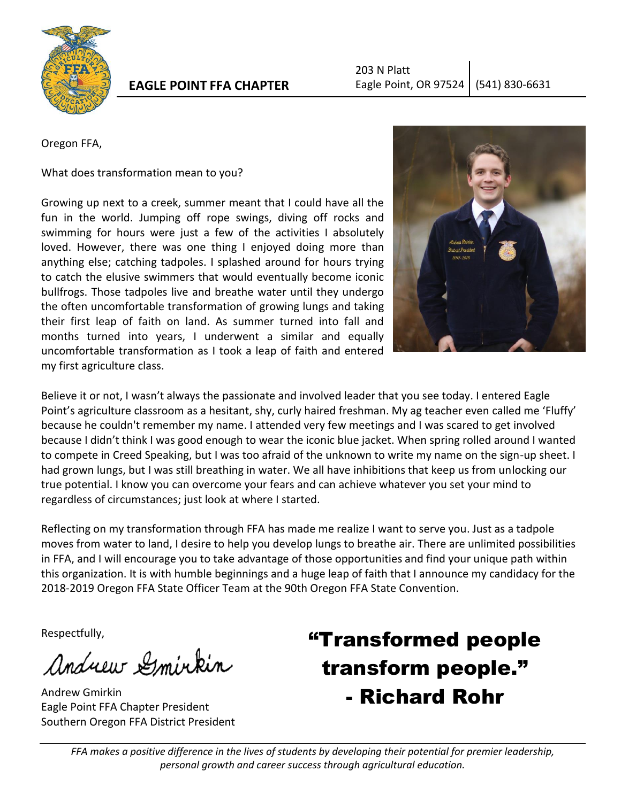

# **EAGLE POINT FFA CHAPTER**

Oregon FFA,

What does transformation mean to you?

Growing up next to a creek, summer meant that I could have all the fun in the world. Jumping off rope swings, diving off rocks and swimming for hours were just a few of the activities I absolutely loved. However, there was one thing I enjoyed doing more than anything else; catching tadpoles. I splashed around for hours trying to catch the elusive swimmers that would eventually become iconic bullfrogs. Those tadpoles live and breathe water until they undergo the often uncomfortable transformation of growing lungs and taking their first leap of faith on land. As summer turned into fall and months turned into years, I underwent a similar and equally uncomfortable transformation as I took a leap of faith and entered my first agriculture class.



Believe it or not, I wasn't always the passionate and involved leader that you see today. I entered Eagle Point's agriculture classroom as a hesitant, shy, curly haired freshman. My ag teacher even called me 'Fluffy' because he couldn't remember my name. I attended very few meetings and I was scared to get involved because I didn't think I was good enough to wear the iconic blue jacket. When spring rolled around I wanted to compete in Creed Speaking, but I was too afraid of the unknown to write my name on the sign-up sheet. I had grown lungs, but I was still breathing in water. We all have inhibitions that keep us from unlocking our true potential. I know you can overcome your fears and can achieve whatever you set your mind to regardless of circumstances; just look at where I started.

Reflecting on my transformation through FFA has made me realize I want to serve you. Just as a tadpole moves from water to land, I desire to help you develop lungs to breathe air. There are unlimited possibilities in FFA, and I will encourage you to take advantage of those opportunities and find your unique path within this organization. It is with humble beginnings and a huge leap of faith that I announce my candidacy for the 2018-2019 Oregon FFA State Officer Team at the 90th Oregon FFA State Convention.

Respectfully,

Andrew Smirkin

Andrew Gmirkin Eagle Point FFA Chapter President Southern Oregon FFA District President

# "Transformed people transform people." - Richard Rohr